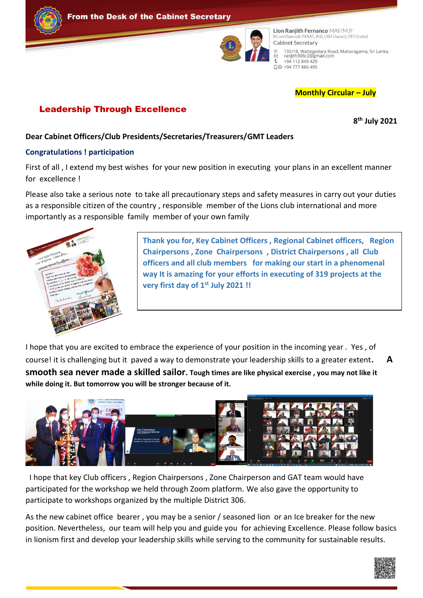



Lion Ranjith Fernanco MAF/MJF BCom(Special), MAAT, AIB, DBF(Japan), PEF(India) Cabinet Secretary 155/18, Wattegedara Road, Maharagama, Sri Lanka.<br>ranjith306c2@gmail.com  $\epsilon$ +94 112 849 429 □ 9 + 94 777 886 495

#### **Monthly Circular – July**

### Leadership Through Excellence

**8 th July 2021**

**Dear Cabinet Officers/Club Presidents/Secretaries/Treasurers/GMT Leaders**

#### **Congratulations ! participation**

First of all , I extend my best wishes for your new position in executing your plans in an excellent manner for excellence !

Please also take a serious note to take all precautionary steps and safety measures in carry out your duties as a responsible citizen of the country , responsible member of the Lions club international and more importantly as a responsible family member of your own family



**Thank you for, Key Cabinet Officers , Regional Cabinet officers, Region Chairpersons , Zone Chairpersons , District Chairpersons , all Club officers and all club members for making our start in a phenomenal way It is amazing for your efforts in executing of 319 projects at the very first day of 1st July 2021 !!** 

I hope that you are excited to embrace the experience of your position in the incoming year . Yes , of course! it is challenging but it paved a way to demonstrate your leadership skills to a greater extent**. A smooth sea never made a skilled sailor. Tough times are like physical exercise , you may not like it while doing it. But tomorrow you will be stronger because of it.**



 I hope that key Club officers , Region Chairpersons , Zone Chairperson and GAT team would have participated for the workshop we held through Zoom platform. We also gave the opportunity to participate to workshops organized by the multiple District 306.

As the new cabinet office bearer , you may be a senior / seasoned lion or an Ice breaker for the new position. Nevertheless, our team will help you and guide you for achieving Excellence. Please follow basics in lionism first and develop your leadership skills while serving to the community for sustainable results.

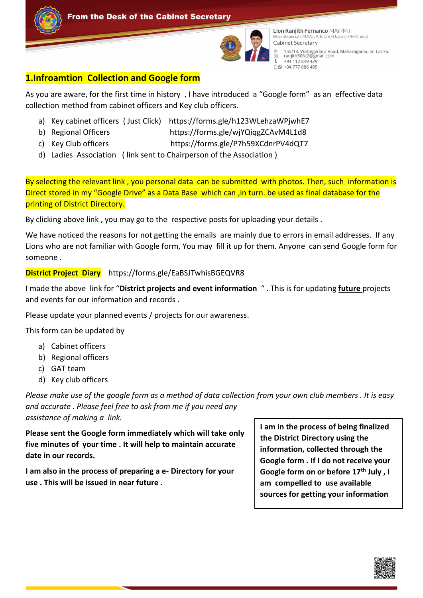



Lion Ranjith Fernanco MAF/MJF BCom(Special), MAAT, AIB, DBF(Japan), PEF(India) Cabinet Secretary 155/18, Wattegedara Road, Maharagama, Sri Lanka.<br>ranjith306c2@gmail.com  $\overline{\mathbb{C}}$  $\epsilon$ +94 112 849 429 □ 9 + 94 777 886 495

### **1.Infroamtion Collection and Google form**

As you are aware, for the first time in history , I have introduced a "Google form" as an effective data collection method from cabinet officers and Key club officers.

- a) Key cabinet officers ( Just Click) https://forms.gle/h123WLehzaWPjwhE7
- b) Regional Officers https://forms.gle/wjYQiqgZCAvM4L1d8
- c) Key Club officers https://forms.gle/P7h59XCdnrPV4dQT7
- d) Ladies Association ( link sent to Chairperson of the Association )

By selecting the relevant link, you personal data can be submitted with photos. Then, such information is Direct stored in my "Google Drive" as a Data Base which can ,in turn. be used as final database for the printing of District Directory.

By clicking above link , you may go to the respective posts for uploading your details .

We have noticed the reasons for not getting the emails are mainly due to errors in email addresses. If any Lions who are not familiar with Google form, You may fill it up for them. Anyone can send Google form for someone .

### **District Project Diary** https://forms.gle/EaBSJTwhisBGEQVR8

I made the above link for "**District projects and event information** " . This is for updating **future** projects and events for our information and records .

Please update your planned events / projects for our awareness.

This form can be updated by

- a) Cabinet officers
- b) Regional officers
- c) GAT team
- d) Key club officers

*Please make use of the google form as a method of data collection from your own club members . It is easy and accurate . Please feel free to ask from me if you need any assistance of making a link.* 

**Please sent the Google form immediately which will take only five minutes of your time . It will help to maintain accurate date in our records.** 

**I am also in the process of preparing a e- Directory for your use . This will be issued in near future .** 

**I am in the process of being finalized the District Directory using the information, collected through the Google form . If I do not receive your Google form on or before 17th July , I am compelled to use available sources for getting your information** 

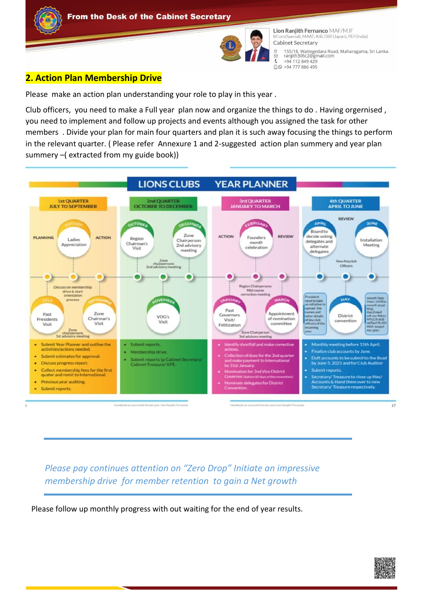



Lion Ranjith Fernanco MAF/MJF BCom(Special), MAAT, AIB, DBF(Japan), PEF(India) Cabinet Secretary 155/18, Wattegedara Road, Maharagama, Sri Lanka.<br>ranjith306c2@gmail.com  $\circ$  $\check{\circ}$  $\epsilon$ +94 112 849 429 □ 94 777 886 495

## **2. Action Plan Membership Drive**

Please make an action plan understanding your role to play in this year .

Club officers, you need to make a Full year plan now and organize the things to do . Having orgernised , you need to implement and follow up projects and events although you assigned the task for other members . Divide your plan for main four quarters and plan it is such away focusing the things to perform in the relevant quarter. ( Please refer Annexure 1 and 2-suggested action plan summery and year plan summery –( extracted from my guide book))



*Please pay continues attention on "Zero Drop" Initiate an impressive membership drive for member retention to gain a Net growth* 

Please follow up monthly progress with out waiting for the end of year results.

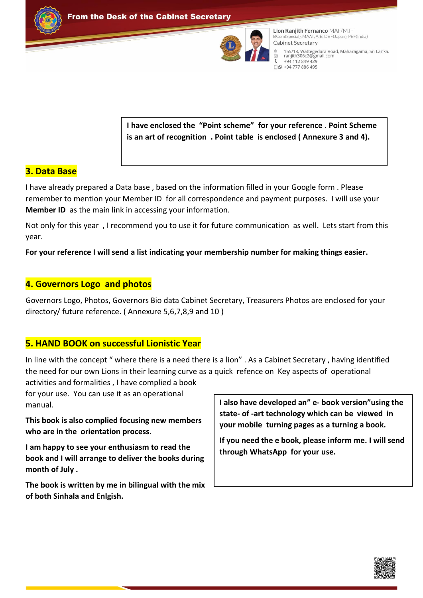



Lion Raniith Fernanco MAF/MJF BCom(Special), MAAT, AIB, DBF(Japan), PEF(India) Cabinet Secretary 155/18, Wattegedara Road, Maharagama, Sri Lanka.<br>ranjith306c2@gmail.com  $\epsilon$ +94 112 849 429 □ 9 + 94 777 886 495

### **I have enclosed the "Point scheme" for your reference . Point Scheme is an art of recognition . Point table is enclosed ( Annexure 3 and 4).**

### **3. Data Base**

I have already prepared a Data base , based on the information filled in your Google form . Please remember to mention your Member ID for all correspondence and payment purposes. I will use your **Member ID** as the main link in accessing your information.

Not only for this year , I recommend you to use it for future communication as well. Lets start from this year.

**For your reference I will send a list indicating your membership number for making things easier.**

### **4. Governors Logo and photos**

Governors Logo, Photos, Governors Bio data Cabinet Secretary, Treasurers Photos are enclosed for your directory/ future reference. ( Annexure 5,6,7,8,9 and 10 )

### **5. HAND BOOK on successful Lionistic Year**

In line with the concept " where there is a need there is a lion" . As a Cabinet Secretary , having identified the need for our own Lions in their learning curve as a quick refence on Key aspects of operational

activities and formalities , I have complied a book for your use. You can use it as an operational manual.

**This book is also complied focusing new members who are in the orientation process.**

**I am happy to see your enthusiasm to read the book and I will arrange to deliver the books during month of July .**

**The book is written by me in bilingual with the mix of both Sinhala and Enlgish.** 

**I also have developed an" e- book version"using the state- of -art technology which can be viewed in your mobile turning pages as a turning a book.** 

**If you need the e book, please inform me. I will send through WhatsApp for your use.** 

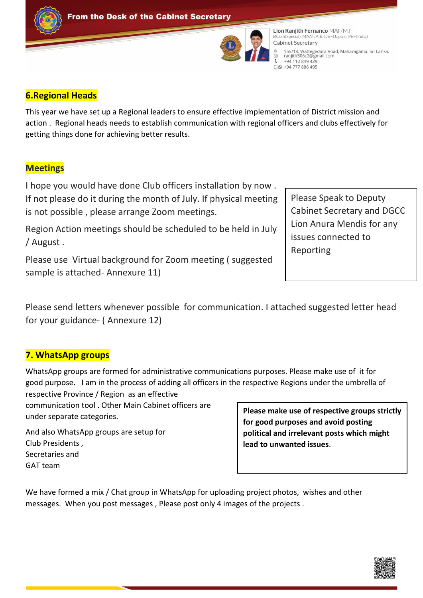



**Lion Raniith Fernanco MAF/MJF** BCom(Special), MAAT, AIB, DBF(Japan), PEF(India) Cabinet Secretary 155/18, Wattegedara Road, Maharagama, Sri Lanka.<br>ranjith306c2@gmail.com  $\epsilon$ +94 112 849 429 □ 9 + 94 777 886 495

### **6.Regional Heads**

This year we have set up a Regional leaders to ensure effective implementation of District mission and action . Regional heads needs to establish communication with regional officers and clubs effectively for getting things done for achieving better results.

# **Meetings**

I hope you would have done Club officers installation by now . If not please do it during the month of July. If physical meeting is not possible , please arrange Zoom meetings.

Region Action meetings should be scheduled to be held in July / August .

Please use Virtual background for Zoom meeting ( suggested sample is attached- Annexure 11)

Please Speak to Deputy Cabinet Secretary and DGCC Lion Anura Mendis for any issues connected to Reporting

Please send letters whenever possible for communication. I attached suggested letter head for your guidance- ( Annexure 12)

# **7. WhatsApp groups**

WhatsApp groups are formed for administrative communications purposes. Please make use of it for good purpose. I am in the process of adding all officers in the respective Regions under the umbrella of respective Province / Region as an effective

communication tool . Other Main Cabinet officers are under separate categories.

And also WhatsApp groups are setup for Club Presidents , Secretaries and GAT team

**Please make use of respective groups strictly for good purposes and avoid posting political and irrelevant posts which might lead to unwanted issues**.

We have formed a mix / Chat group in WhatsApp for uploading project photos, wishes and other messages. When you post messages , Please post only 4 images of the projects .

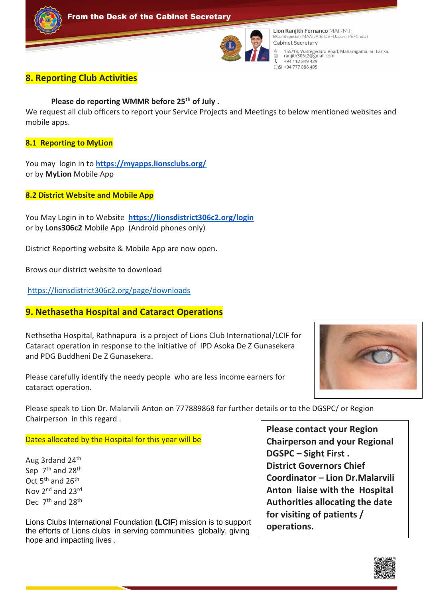



**Lion Raniith Fernanco MAF/MJF** BCom(Special), MAAT, AIB, DBF(Japan), PEF(India) Cabinet Secretary 155/18, Wattegedara Road, Maharagama, Sri Lanka.<br>ranjith306c2@gmail.com  $\epsilon$ +94 112 849 429 □ 9 + 94 777 886 495

### **8. Reporting Club Activities**

**Please do reporting WMMR before 25th of July .**

We request all club officers to report your Service Projects and Meetings to below mentioned websites and mobile apps.

**8.1 Reporting to MyLion**

You may login in to **<https://myapps.lionsclubs.org/>** or by **MyLion** Mobile App

**8.2 District Website and Mobile App**

You May Login in to Website **<https://lionsdistrict306c2.org/login>** or by **Lons306c2** Mobile App (Android phones only)

District Reporting website & Mobile App are now open.

Brows our district website to download

<https://lionsdistrict306c2.org/page/downloads>

### **9. Nethasetha Hospital and Cataract Operations**

Nethsetha Hospital, Rathnapura is a project of Lions Club International/LCIF for Cataract operation in response to the initiative of IPD Asoka De Z Gunasekera and PDG Buddheni De Z Gunasekera.

Please carefully identify the needy people who are less income earners for cataract operation.



Please speak to Lion Dr. Malarvili Anton on 777889868 for further details or to the DGSPC/ or Region Chairperson in this regard .

Dates allocated by the Hospital for this year will be

Aug 3rdand 24<sup>th</sup> Sep 7<sup>th</sup> and 28<sup>th</sup> Oct 5<sup>th</sup> and 26<sup>th</sup> Nov 2<sup>nd</sup> and 23<sup>rd</sup> Dec 7<sup>th</sup> and 28<sup>th</sup>

Lions Clubs International Foundation **(LCIF**) mission is to support the efforts of Lions clubs in serving communities globally, giving hope and impacting lives .

**Please contact your Region Chairperson and your Regional DGSPC – Sight First . District Governors Chief Coordinator – Lion Dr.Malarvili Anton liaise with the Hospital Authorities allocating the date for visiting of patients / operations.** 

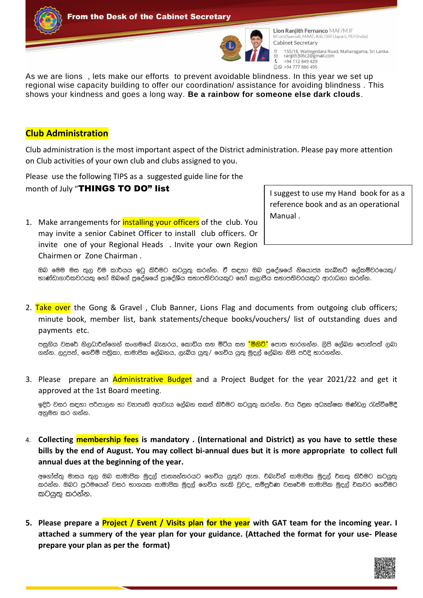



Lion Ranjith Fernanco MAF/MJF BCom(Special), MAAT, AIB, DBF(Japan), PEF(India) Cabinet Secretary 155/18, Wattegedara Road, Maharagama, Sri Lanka.<br>ranjith306c2@gmail.com +94 112 849 429 □ 9 + 94 777 886 495

As we are lions , lets make our efforts to prevent avoidable blindness. In this year we set up regional wise capacity building to offer our coordination/ assistance for avoiding blindness . This shows your kindness and goes a long way. **Be a rainbow for someone else dark clouds**.

### **Club Administration**

Club administration is the most important aspect of the District administration. Please pay more attention on Club activities of your own club and clubs assigned to you.

Please use the following TIPS as a suggested guide line for the month of July "THINGS TO DO" list

1. Make arrangements for **installing your officers** of the club. You may invite a senior Cabinet Officer to install club officers. Or invite one of your Regional Heads . Invite your own Region Chairmen or Zone Chairman .

I suggest to use my Hand book for as a reference book and as an operational Manual .

ඔබ මෙම මස තුල චම කාර්යය ඉටු කිරීමට කටයුතු කරන්න. ඒ සඳහා ඔබ පුදේශයේ නියොජ¤ කැබිනට් ලේකම්වරයෙකු/ භාණ්ඩාගාරිකවරයකු හෝ ඔබගේ පුදේශයේ පුාදේශීය සභාපතිවරයකුට හෝ කලාපීය සභාපතිවරයකුට ආරාධනා කරන්න.

2. Take over the Gong & Gravel, Club Banner, Lions Flag and documents from outgoing club officers; minute book, member list, bank statements/cheque books/vouchers/ list of outstanding dues and payments etc.

පසුගිය වසරේ නිලධාරීන්ගෙන් සංගමයේ බැනරය, කොඩිය සහ මිටිය සහ <mark>"මිනිට්"</mark> පොත භාරගන්න. ලිපි ලේබන පොත්පත් ලබා ගන්න. ලදුපත්, ගෙවීම් පතිකා, සාමාපික ලේබනය, ලැබිය යුතු/ ගෙවිය යුතු මුදල් ලේබන නිසි පරිදි භාරගන්න.

3. Please prepare an **Administrative Budget** and a Project Budget for the year 2021/22 and get it approved at the 1st Board meeting.

ඉදිරි වසර සඳහා පරිපාලන හා වතපෘති අයවැය ලේබන සකස් කිරීමට කටයුතු කරන්න. චිය ඊළඟ අධ<sup>ු</sup>ක්ෂක මණ්ඩල රැස්වීමේදී අනුමත කර ගන්න.

4. **Collecting membership fees is mandatory . (International and District) as you have to settle these bills by the end of August. You may collect bi-annual dues but it is more appropriate to collect full annual dues at the beginning of the year.**

අගෝස්තු මාසය තුල ඔබ සාමාපික මුදල් ජාතෳන්තරයට ගෙවිය යුතුව ඇත. චබැවින් සාමාපික මුදල් චකතු කිරීමට කටයුතු කරන්න. ඔබට පුථමයෙන් වසර භාගයක සාමාපික මුදල් ගෙවිය හැකි වුවද, සම්පූර්ණ වසරේම සාමාපික මුදල් චිකවර ගෙවීමට කටයුතු කරන්න.

**5. Please prepare a Project / Event / Visits plan for the year with GAT team for the incoming year. I attached a summery of the year plan for your guidance. (Attached the format for your use- Please prepare your plan as per the format)**

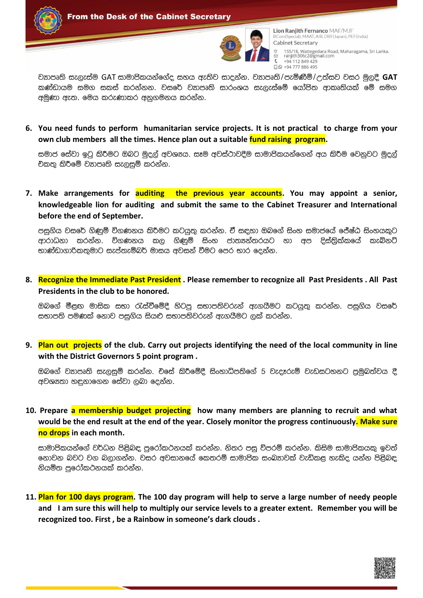



 $\epsilon$ 

Lion Ranjith Fernanco MAF/MJF BCom(Special), MAAT, AIB, DBF(Japan), PEF(India) Cabinet Secretary 155/18, Wattegedara Road, Maharagama, Sri Lanka.<br>ranjith306c2@gmail.com +94 112 849 429  $Q$   $Q$  +94 777 886 495

වතපෘති සැලැස්ම GAT සාමාපිකයන්ගේද සහය ඇතිව සාදන්න. වතපෘති/පැමිණීම්/උත්සව වසර මුලදී **GAT** කණ්ඩායම සමග සකස් කරන්නන. වසරේ වනාපෘති සාරංශය සැලැස්මේ යෝපිත ආකෘතියක් මේ සමග අමුණා ඇත. මෙය කරුණාකර අනුගමනය කරන්න.

**6. You need funds to perform humanitarian service projects. It is not practical to charge from your own club members all the times. Hence plan out a suitable fund raising program.** 

සමාජ සේවා ඉටු කිරීමට ඔබට මුදල් අවශාය. සෑම අවස්ථාවදීම සාමාපිකයන්ගෙන් අය කිරීම වෙනුවට මුදල් චිකතු කිරීමේ වහාපෘති සැලසුම් කරන්න.

**7. Make arrangements for auditing the previous year accounts. You may appoint a senior, knowledgeable lion for auditing and submit the same to the Cabinet Treasurer and International before the end of September.**

පසුගිය වසරේ ගිණුම් විගණනය කිරීමට කටයත කරන්න. ඒ සඳහා ඔබගේ සිංහ සමාජයේ ජේෂ්ඨ සිංහයකට ආරාධනා කරන්න. විගණනය කල ගිණුම් සිංහ ජාත¤න්තරයට හා අප දිස්තිුක්කයේ කැබිනට් භාණ්ඩාගාරිකතුමාට සැප්තැම්බර් මාසය අවසන් වීමට පෙර භාර දෙන්න.

**8. Recognize the Immediate Past President . Please remember to recognize all Past Presidents . All Past Presidents in the club to be honored.**

ඔබගේ මීළඟ මාසික සභා රැස්වීමේදී හිටපු සභාපතිවරුන් ඇගයීමට කටයුතු කරන්න. පසුගිය වසරේ සභාපති පමණක් නොව පසුගිය සියළු සභාපතිවරුන් ඇගයීමට ලක් කරන්න.

**9. Plan out projects of the club. Carry out projects identifying the need of the local community in line with the District Governors 5 point program .**

ඔබගේ වනපෘති සැලසුම් කරන්න. චිසේ කිරීමේදී සිංහාධිපතිගේ 5 වැදෑරුම් වැඩසටහනට පුමුබත්වය දී අවශාතා හඳුනාගෙන සේවා ලබා දෙන්න.

**10. Prepare a membership budget projecting how many members are planning to recruit and what would be the end result at the end of the year. Closely monitor the progress continuously. Make sure no drops in each month.** 

සාමාපිකයන්ගේ වර්ධන පිළිබඳ පුරෝකථනයක් කරන්න. නිතර පසු විපරම් කරන්න. කිසිම සාමාපිකයකු ඉවත් ගොවන බවට වග බලාගන්න. වසර අවසානයේ කෙතරම් සාමාපික සංඛතාවක් වැඩිකළ හැකිද යන්න පිළිබඳ නියමිත පුරෝකථනයක් කරන්න.

**11. Plan for 100 days program. The 100 day program will help to serve a large number of needy people and I am sure this will help to multiply our service levels to a greater extent. Remember you will be recognized too. First , be a Rainbow in someone's dark clouds .** 

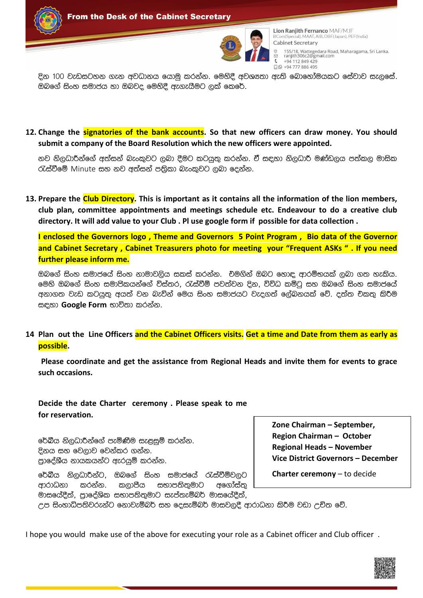



Lion Raniith Fernanco MAF/MJF BCom(Special), MAAT, AIB, DBF(Japan), PEF(India) Cabinet Secretary 155/18, Wattegedara Road, Maharagama, Sri Lanka.<br>ranjith306c2@gmail.com +94 112 849 429 □ 9 + 94 777 886 495

දින 100 වැඩසටහන ගැන අවධානය යොමු කරන්න. මෙහිදී අවශානා ඇති බොහෝමයකට සේවාව සැලසේ. ඔබගේ සිංහ සමාජය හා ඔබවද මෙහිදී ඇගැයීමට ලක් කෙරේ.

**12. Change the signatories of the bank accounts. So that new officers can draw money. You should submit a company of the Board Resolution which the new officers were appointed.** 

නව නිලධාරීන්ගේ අත්සන් බැංකුවට ලබා දීමට කටයුතු කරන්න. ඒ සඳහා නිලධාරී මණ්ඩලය පත්කල මාසික රැස්වීමේ Minute සහ නව අත්සන් පතිකා බැංකුවට ලබා දෙන්න.

**13. Prepare the Club Directory. This is important as it contains all the information of the lion members, club plan, committee appointments and meetings schedule etc. Endeavour to do a creative club directory. It will add value to your Club . Pl use google form if possible for data collection .** 

**I enclosed the Governors logo , Theme and Governors 5 Point Program , Bio data of the Governor and Cabinet Secretary , Cabinet Treasurers photo for meeting your "Frequent ASKs " . If you need further please inform me.**

ඔබගේ සිංහ සමාජයේ සිංහ නාමාවලිය සකස් කරන්න. චිමගින් ඔබට හොඳ ආරම්භයක් ලබා ගත හැකිය. මෙහි ඔබගේ සිංහ සමාපිකයන්ගේ විස්තර, රැස්වීම් පවත්වන දින, විවිධ කමිටු සහ ඔබගේ සිංහ සමාජයේ අනාගත වැඩ කටයුතු අයත් වන බැවින් මෙය සිංහ සමාජයට වැදගත් ලේබනයක් වේ. දත්ත චිකතු කිරීම සඳහා **Google Form** භාවිතා කරන්න.

**14 Plan out the Line Officers and the Cabinet Officers visits. Get a time and Date from them as early as possible.**

 **Please coordinate and get the assistance from Regional Heads and invite them for events to grace such occasions.** 

**Decide the date Charter ceremony . Please speak to me for reservation.** 

රේඛීය නිලධාරීන්ගේ පැමිණීම සැළසුම් කරන්න. දිනය සහ වෙලාව වෙන්කර ගන්න. පාදේශීය නායකයන්ට ඇරයුම් කරන්න.

රේඛීය නිලධාරීන්ට, ඔබගේ සිංහ සමාජයේ රැස්වීම්වලට ආරාධනා කරන්න. කලාපීය සභාපතිතුමාට අගෝස්තු මාසයේදීත්, පාදේශික සභාපතිතුමාට සැප්තැම්බර් මාසයේදීත්,

**Zone Chairman – September, Region Chairman – October Regional Heads – November Vice District Governors – December** 

 **Charter ceremony** – to decide

උප සිංහාධිපතිවරුන්ට නොවැම්බර් සහ දෙසැම්බර් මාසවලදී ආරාධනා කිරීම වඩා උචිත වේ.

I hope you would make use of the above for executing your role as a Cabinet officer and Club officer .